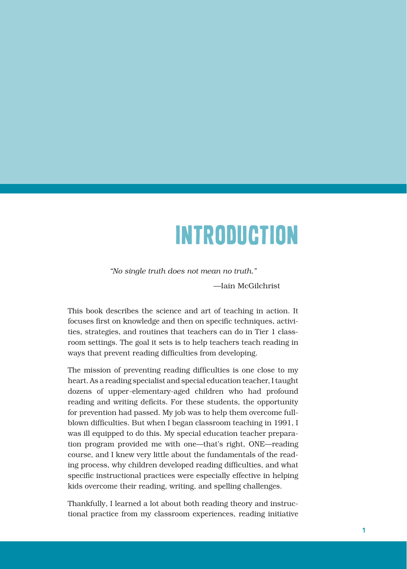## Introduction

*"No single truth does not mean no truth."*

—Iain McGilchrist

This book describes the science and art of teaching in action. It focuses first on knowledge and then on specific techniques, activities, strategies, and routines that teachers can do in Tier 1 classroom settings. The goal it sets is to help teachers teach reading in ways that prevent reading difficulties from developing.

The mission of preventing reading difficulties is one close to my heart. As a reading specialist and special education teacher, I taught dozens of upper-elementary-aged children who had profound reading and writing deficits. For these students, the opportunity for prevention had passed. My job was to help them overcome fullblown difficulties. But when I began classroom teaching in 1991, I was ill equipped to do this. My special education teacher preparation program provided me with one—that's right, ONE—reading course, and I knew very little about the fundamentals of the reading process, why children developed reading difficulties, and what specific instructional practices were especially effective in helping kids overcome their reading, writing, and spelling challenges.

Thankfully, I learned a lot about both reading theory and instructional practice from my classroom experiences, reading initiative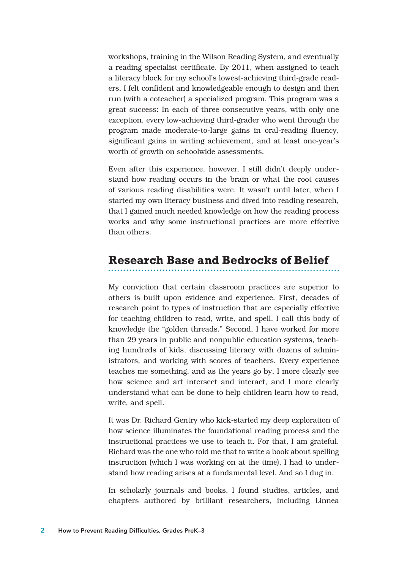workshops, training in the Wilson Reading System, and eventually a reading specialist certificate. By 2011, when assigned to teach a literacy block for my school's lowest-achieving third-grade readers, I felt confident and knowledgeable enough to design and then run (with a coteacher) a specialized program. This program was a great success: In each of three consecutive years, with only one exception, every low-achieving third-grader who went through the program made moderate-to-large gains in oral-reading fluency, significant gains in writing achievement, and at least one-year's worth of growth on schoolwide assessments.

Even after this experience, however, I still didn't deeply understand how reading occurs in the brain or what the root causes of various reading disabilities were. It wasn't until later, when I started my own literacy business and dived into reading research, that I gained much needed knowledge on how the reading process works and why some instructional practices are more effective than others.

## **Research Base and Bedrocks of Belief**

My conviction that certain classroom practices are superior to others is built upon evidence and experience. First, decades of research point to types of instruction that are especially effective for teaching children to read, write, and spell. I call this body of knowledge the "golden threads." Second, I have worked for more than 29 years in public and nonpublic education systems, teaching hundreds of kids, discussing literacy with dozens of administrators, and working with scores of teachers. Every experience teaches me something, and as the years go by, I more clearly see how science and art intersect and interact, and I more clearly understand what can be done to help children learn how to read, write, and spell.

It was Dr. Richard Gentry who kick-started my deep exploration of how science illuminates the foundational reading process and the instructional practices we use to teach it. For that, I am grateful. Richard was the one who told me that to write a book about spelling instruction (which I was working on at the time), I had to understand how reading arises at a fundamental level. And so I dug in.

In scholarly journals and books, I found studies, articles, and chapters authored by brilliant researchers, including Linnea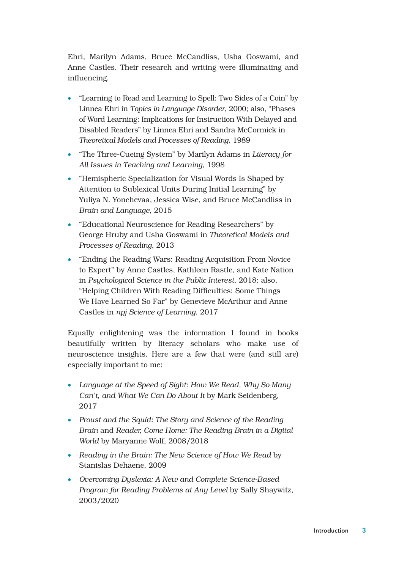Ehri, Marilyn Adams, Bruce McCandliss, Usha Goswami, and Anne Castles. Their research and writing were illuminating and influencing.

- "Learning to Read and Learning to Spell: Two Sides of a Coin" by Linnea Ehri in *Topics in Language Disorder*, 2000; also, "Phases of Word Learning: Implications for Instruction With Delayed and Disabled Readers" by Linnea Ehri and Sandra McCormick in *Theoretical Models and Processes of Reading*, 1989
- "The Three-Cueing System" by Marilyn Adams in *Literacy for All Issues in Teaching and Learning*, 1998
- "Hemispheric Specialization for Visual Words Is Shaped by Attention to Sublexical Units During Initial Learning" by Yuliya N. Yonchevaa, Jessica Wise, and Bruce McCandliss in *Brain and Language*, 2015
- "Educational Neuroscience for Reading Researchers" by George Hruby and Usha Goswami in *Theoretical Models and Processes of Reading*, 2013
- "Ending the Reading Wars: Reading Acquisition From Novice to Expert" by Anne Castles, Kathleen Rastle, and Kate Nation in *Psychological Science in the Public Interest*, 2018; also, "Helping Children With Reading Difficulties: Some Things We Have Learned So Far" by Genevieve McArthur and Anne Castles in *npj Science of Learning*, 2017

Equally enlightening was the information I found in books beautifully written by literacy scholars who make use of neuroscience insights. Here are a few that were (and still are) especially important to me:

- *Language at the Speed of Sight: How We Read, Why So Many Can't, and What We Can Do About It* by Mark Seidenberg, 2017
- *Proust and the Squid: The Story and Science of the Reading Brain* and *Reader, Come Home: The Reading Brain in a Digital World* by Maryanne Wolf, 2008/2018
- *Reading in the Brain: The New Science of How We Read* by Stanislas Dehaene, 2009
- *Overcoming Dyslexia: A New and Complete Science-Based Program for Reading Problems at Any Level* by Sally Shaywitz, 2003/2020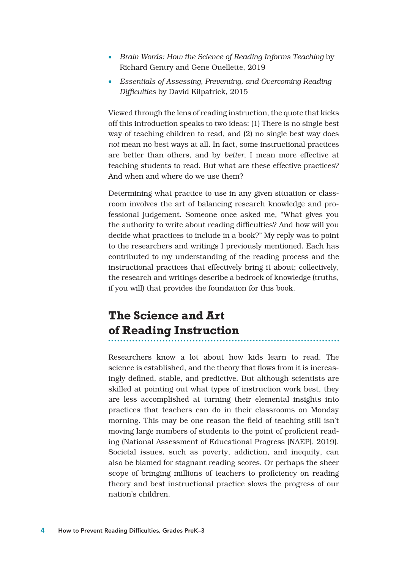- *Brain Words: How the Science of Reading Informs Teaching* by Richard Gentry and Gene Ouellette, 2019
- *Essentials of Assessing, Preventing, and Overcoming Reading Difficulties* by David Kilpatrick, 2015

Viewed through the lens of reading instruction, the quote that kicks off this introduction speaks to two ideas: (1) There is no single best way of teaching children to read, and (2) no single best way does *not* mean no best ways at all. In fact, some instructional practices are better than others, and by *better*, I mean more effective at teaching students to read. But what are these effective practices? And when and where do we use them?

Determining what practice to use in any given situation or classroom involves the art of balancing research knowledge and professional judgement. Someone once asked me, "What gives you the authority to write about reading difficulties? And how will you decide what practices to include in a book?" My reply was to point to the researchers and writings I previously mentioned. Each has contributed to my understanding of the reading process and the instructional practices that effectively bring it about; collectively, the research and writings describe a bedrock of knowledge (truths, if you will) that provides the foundation for this book.

## **The Science and Art of Reading Instruction**

Researchers know a lot about how kids learn to read. The science is established, and the theory that flows from it is increasingly defined, stable, and predictive. But although scientists are skilled at pointing out what types of instruction work best, they are less accomplished at turning their elemental insights into practices that teachers can do in their classrooms on Monday morning. This may be one reason the field of teaching still isn't moving large numbers of students to the point of proficient reading (National Assessment of Educational Progress [NAEP], 2019). Societal issues, such as poverty, addiction, and inequity, can also be blamed for stagnant reading scores. Or perhaps the sheer scope of bringing millions of teachers to proficiency on reading theory and best instructional practice slows the progress of our nation's children.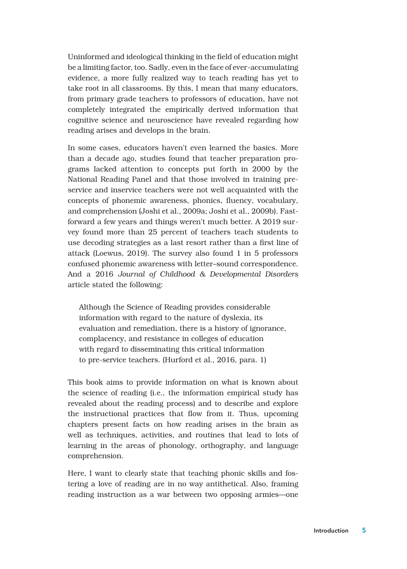Uninformed and ideological thinking in the field of education might be a limiting factor, too. Sadly, even in the face of ever-accumulating evidence, a more fully realized way to teach reading has yet to take root in all classrooms. By this, I mean that many educators, from primary grade teachers to professors of education, have not completely integrated the empirically derived information that cognitive science and neuroscience have revealed regarding how reading arises and develops in the brain.

In some cases, educators haven't even learned the basics. More than a decade ago, studies found that teacher preparation programs lacked attention to concepts put forth in 2000 by the National Reading Panel and that those involved in training preservice and inservice teachers were not well acquainted with the concepts of phonemic awareness, phonics, fluency, vocabulary, and comprehension (Joshi et al., 2009a; Joshi et al., 2009b). Fastforward a few years and things weren't much better. A 2019 survey found more than 25 percent of teachers teach students to use decoding strategies as a last resort rather than a first line of attack (Loewus, 2019). The survey also found 1 in 5 professors confused phonemic awareness with letter–sound correspondence. And a 2016 *Journal of Childhood & Developmental Disorders* article stated the following:

Although the Science of Reading provides considerable information with regard to the nature of dyslexia, its evaluation and remediation, there is a history of ignorance, complacency, and resistance in colleges of education with regard to disseminating this critical information to pre-service teachers. (Hurford et al., 2016, para. 1)

This book aims to provide information on what is known about the science of reading (i.e., the information empirical study has revealed about the reading process) and to describe and explore the instructional practices that flow from it. Thus, upcoming chapters present facts on how reading arises in the brain as well as techniques, activities, and routines that lead to lots of learning in the areas of phonology, orthography, and language comprehension.

Here, I want to clearly state that teaching phonic skills and fostering a love of reading are in no way antithetical. Also, framing reading instruction as a war between two opposing armies—one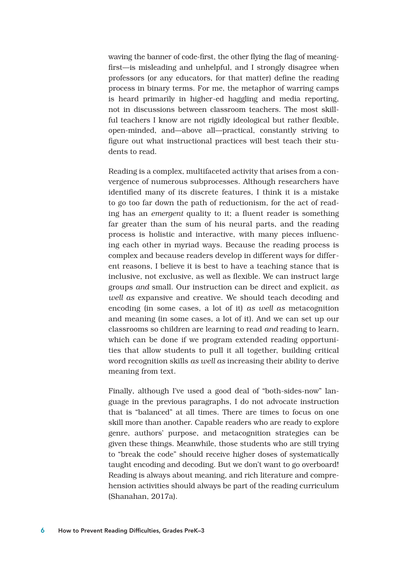waving the banner of code-first, the other flying the flag of meaningfirst—is misleading and unhelpful, and I strongly disagree when professors (or any educators, for that matter) define the reading process in binary terms. For me, the metaphor of warring camps is heard primarily in higher-ed haggling and media reporting, not in discussions between classroom teachers. The most skillful teachers I know are not rigidly ideological but rather flexible, open-minded, and—above all—practical, constantly striving to figure out what instructional practices will best teach their students to read.

Reading is a complex, multifaceted activity that arises from a convergence of numerous subprocesses. Although researchers have identified many of its discrete features, I think it is a mistake to go too far down the path of reductionism, for the act of reading has an *emergent* quality to it; a fluent reader is something far greater than the sum of his neural parts, and the reading process is holistic and interactive, with many pieces influencing each other in myriad ways. Because the reading process is complex and because readers develop in different ways for different reasons, I believe it is best to have a teaching stance that is inclusive, not exclusive, as well as flexible. We can instruct large groups *and* small. Our instruction can be direct and explicit, *as well as* expansive and creative. We should teach decoding and encoding (in some cases, a lot of it) *as well as* metacognition and meaning (in some cases, a lot of it). And we can set up our classrooms so children are learning to read *and* reading to learn, which can be done if we program extended reading opportunities that allow students to pull it all together, building critical word recognition skills *as well as* increasing their ability to derive meaning from text.

Finally, although I've used a good deal of "both-sides-now" language in the previous paragraphs, I do not advocate instruction that is "balanced" at all times. There are times to focus on one skill more than another. Capable readers who are ready to explore genre, authors' purpose, and metacognition strategies can be given these things. Meanwhile, those students who are still trying to "break the code" should receive higher doses of systematically taught encoding and decoding. But we don't want to go overboard! Reading is always about meaning, and rich literature and comprehension activities should always be part of the reading curriculum (Shanahan, 2017a).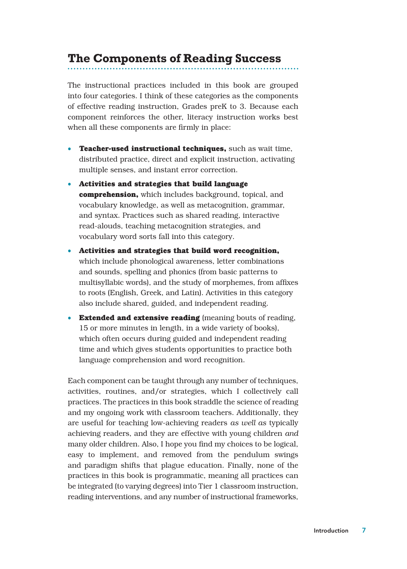## **The Components of Reading Success**

The instructional practices included in this book are grouped into four categories. I think of these categories as the components of effective reading instruction, Grades preK to 3. Because each component reinforces the other, literacy instruction works best when all these components are firmly in place:

- **Teacher-used instructional techniques,** such as wait time, distributed practice, direct and explicit instruction, activating multiple senses, and instant error correction.
- **Activities and strategies that build language comprehension,** which includes background, topical, and vocabulary knowledge, as well as metacognition, grammar, and syntax. Practices such as shared reading, interactive read-alouds, teaching metacognition strategies, and vocabulary word sorts fall into this category.
- **Activities and strategies that build word recognition,** which include phonological awareness, letter combinations and sounds, spelling and phonics (from basic patterns to multisyllabic words), and the study of morphemes, from affixes to roots (English, Greek, and Latin). Activities in this category also include shared, guided, and independent reading.
- **Extended and extensive reading** (meaning bouts of reading, 15 or more minutes in length, in a wide variety of books), which often occurs during guided and independent reading time and which gives students opportunities to practice both language comprehension and word recognition.

Each component can be taught through any number of techniques, activities, routines, and/or strategies, which I collectively call practices. The practices in this book straddle the science of reading and my ongoing work with classroom teachers. Additionally, they are useful for teaching low-achieving readers *as well as* typically achieving readers, and they are effective with young children *and* many older children. Also, I hope you find my choices to be logical, easy to implement, and removed from the pendulum swings and paradigm shifts that plague education. Finally, none of the practices in this book is programmatic, meaning all practices can be integrated (to varying degrees) into Tier 1 classroom instruction, reading interventions, and any number of instructional frameworks,